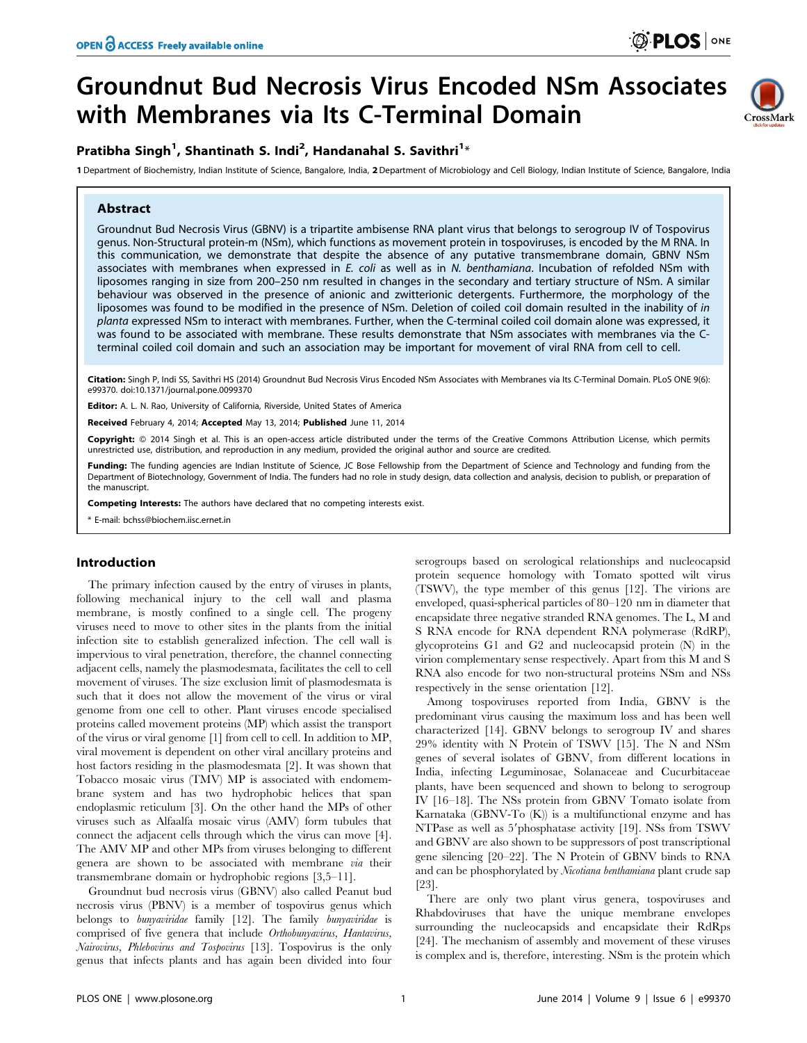CrossMark

# Groundnut Bud Necrosis Virus Encoded NSm Associates with Membranes via Its C-Terminal Domain

## Pratibha Singh<sup>1</sup>, Shantinath S. Indi<sup>2</sup>, Handanahal S. Savithri<sup>1</sup>\*

1 Department of Biochemistry, Indian Institute of Science, Bangalore, India, 2 Department of Microbiology and Cell Biology, Indian Institute of Science, Bangalore, India

## Abstract

Groundnut Bud Necrosis Virus (GBNV) is a tripartite ambisense RNA plant virus that belongs to serogroup IV of Tospovirus genus. Non-Structural protein-m (NSm), which functions as movement protein in tospoviruses, is encoded by the M RNA. In this communication, we demonstrate that despite the absence of any putative transmembrane domain, GBNV NSm associates with membranes when expressed in E. coli as well as in N. benthamiana. Incubation of refolded NSm with liposomes ranging in size from 200–250 nm resulted in changes in the secondary and tertiary structure of NSm. A similar behaviour was observed in the presence of anionic and zwitterionic detergents. Furthermore, the morphology of the liposomes was found to be modified in the presence of NSm. Deletion of coiled coil domain resulted in the inability of in planta expressed NSm to interact with membranes. Further, when the C-terminal coiled coil domain alone was expressed, it was found to be associated with membrane. These results demonstrate that NSm associates with membranes via the Cterminal coiled coil domain and such an association may be important for movement of viral RNA from cell to cell.

Citation: Singh P, Indi SS, Savithri HS (2014) Groundnut Bud Necrosis Virus Encoded NSm Associates with Membranes via Its C-Terminal Domain. PLoS ONE 9(6): e99370. doi:10.1371/journal.pone.0099370

Editor: A. L. N. Rao, University of California, Riverside, United States of America

Received February 4, 2014; Accepted May 13, 2014; Published June 11, 2014

Copyright: © 2014 Singh et al. This is an open-access article distributed under the terms of the [Creative Commons Attribution License](http://creativecommons.org/licenses/by/4.0/), which permits unrestricted use, distribution, and reproduction in any medium, provided the original author and source are credited.

Funding: The funding agencies are Indian Institute of Science, JC Bose Fellowship from the Department of Science and Technology and funding from the Department of Biotechnology, Government of India. The funders had no role in study design, data collection and analysis, decision to publish, or preparation of the manuscript.

Competing Interests: The authors have declared that no competing interests exist.

\* E-mail: bchss@biochem.iisc.ernet.in

## Introduction

The primary infection caused by the entry of viruses in plants, following mechanical injury to the cell wall and plasma membrane, is mostly confined to a single cell. The progeny viruses need to move to other sites in the plants from the initial infection site to establish generalized infection. The cell wall is impervious to viral penetration, therefore, the channel connecting adjacent cells, namely the plasmodesmata, facilitates the cell to cell movement of viruses. The size exclusion limit of plasmodesmata is such that it does not allow the movement of the virus or viral genome from one cell to other. Plant viruses encode specialised proteins called movement proteins (MP) which assist the transport of the virus or viral genome [1] from cell to cell. In addition to MP, viral movement is dependent on other viral ancillary proteins and host factors residing in the plasmodesmata [2]. It was shown that Tobacco mosaic virus (TMV) MP is associated with endomembrane system and has two hydrophobic helices that span endoplasmic reticulum [3]. On the other hand the MPs of other viruses such as Alfaalfa mosaic virus (AMV) form tubules that connect the adjacent cells through which the virus can move [4]. The AMV MP and other MPs from viruses belonging to different genera are shown to be associated with membrane via their transmembrane domain or hydrophobic regions [3,5–11].

Groundnut bud necrosis virus (GBNV) also called Peanut bud necrosis virus (PBNV) is a member of tospovirus genus which belongs to bunyaviridae family [12]. The family bunyaviridae is comprised of five genera that include Orthobunyavirus, Hantavirus, Nairovirus, Phlebovirus and Tospovirus [13]. Tospovirus is the only genus that infects plants and has again been divided into four

serogroups based on serological relationships and nucleocapsid protein sequence homology with Tomato spotted wilt virus (TSWV), the type member of this genus [12]. The virions are enveloped, quasi-spherical particles of 80–120 nm in diameter that encapsidate three negative stranded RNA genomes. The L, M and S RNA encode for RNA dependent RNA polymerase (RdRP), glycoproteins G1 and G2 and nucleocapsid protein (N) in the virion complementary sense respectively. Apart from this M and S RNA also encode for two non-structural proteins NSm and NSs respectively in the sense orientation [12].

Among tospoviruses reported from India, GBNV is the predominant virus causing the maximum loss and has been well characterized [14]. GBNV belongs to serogroup IV and shares 29% identity with N Protein of TSWV [15]. The N and NSm genes of several isolates of GBNV, from different locations in India, infecting Leguminosae, Solanaceae and Cucurbitaceae plants, have been sequenced and shown to belong to serogroup IV [16–18]. The NSs protein from GBNV Tomato isolate from Karnataka (GBNV-To (K)) is a multifunctional enzyme and has NTPase as well as 5'phosphatase activity [19]. NSs from TSWV and GBNV are also shown to be suppressors of post transcriptional gene silencing [20–22]. The N Protein of GBNV binds to RNA and can be phosphorylated by Nicotiana benthamiana plant crude sap [23].

There are only two plant virus genera, tospoviruses and Rhabdoviruses that have the unique membrane envelopes surrounding the nucleocapsids and encapsidate their RdRps [24]. The mechanism of assembly and movement of these viruses is complex and is, therefore, interesting. NSm is the protein which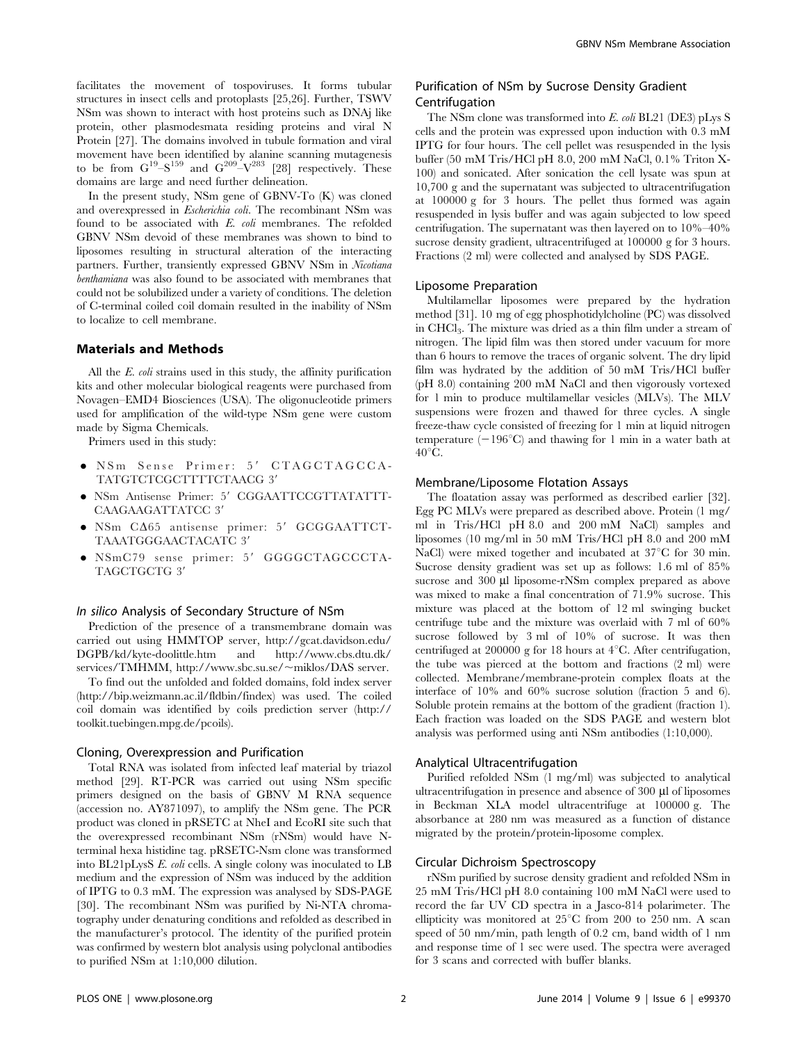facilitates the movement of tospoviruses. It forms tubular structures in insect cells and protoplasts [25,26]. Further, TSWV NSm was shown to interact with host proteins such as DNAj like protein, other plasmodesmata residing proteins and viral N Protein [27]. The domains involved in tubule formation and viral movement have been identified by alanine scanning mutagenesis to be from  $G^{19}-S^{159}$  and  $G^{209}-V^{283}$  [28] respectively. These domains are large and need further delineation.

In the present study, NSm gene of GBNV-To (K) was cloned and overexpressed in Escherichia coli. The recombinant NSm was found to be associated with E. coli membranes. The refolded GBNV NSm devoid of these membranes was shown to bind to liposomes resulting in structural alteration of the interacting partners. Further, transiently expressed GBNV NSm in Nicotiana benthamiana was also found to be associated with membranes that could not be solubilized under a variety of conditions. The deletion of C-terminal coiled coil domain resulted in the inability of NSm to localize to cell membrane.

## Materials and Methods

All the E. coli strains used in this study, the affinity purification kits and other molecular biological reagents were purchased from Novagen–EMD4 Biosciences (USA). The oligonucleotide primers used for amplification of the wild-type NSm gene were custom made by Sigma Chemicals.

Primers used in this study:

- $\bullet$  NSm Sense Primer: 5' CTAGCTAGCCA-TATGTCTCGCTTTTCTAACG 3'
- $\bullet$  NSm Antisense Primer: 5' CGGAATTCCGTTATATTT-CAAGAAGATTATCC 3'
- $\bullet$  NSm C $\Delta$ 65 antisense primer: 5' GCGGAATTCT-TAAATGGGAACTACATC 3'
- $\bullet$  NSmC79 sense primer: 5' GGGGCTAGCCCTA-TAGCTGCTG 3'

#### In silico Analysis of Secondary Structure of NSm

Prediction of the presence of a transmembrane domain was carried out using HMMTOP server, [http://gcat.davidson.edu/](http://gcat.davidson.edu/DGPB/kd/kyte-doolittle.htm) [DGPB/kd/kyte-doolittle.htm](http://gcat.davidson.edu/DGPB/kd/kyte-doolittle.htm) and [http://www.cbs.dtu.dk/](http://www.cbs.dtu.dk/services/TMHMM) [services/TMHMM](http://www.cbs.dtu.dk/services/TMHMM), [http://www.sbc.su.se/](http://www.sbc.su.se/∼miklos/DAS)~miklos/DAS server.

To find out the unfolded and folded domains, fold index server [\(http://bip.weizmann.ac.il/fldbin/findex\)](http://bip.weizmann.ac.il/fldbin/findex) was used. The coiled coil domain was identified by coils prediction server ([http://](http://toolkit.tuebingen.mpg.de/pcoils) [toolkit.tuebingen.mpg.de/pcoils\)](http://toolkit.tuebingen.mpg.de/pcoils).

#### Cloning, Overexpression and Purification

Total RNA was isolated from infected leaf material by triazol method [29]. RT-PCR was carried out using NSm specific primers designed on the basis of GBNV M RNA sequence (accession no. AY871097), to amplify the NSm gene. The PCR product was cloned in pRSETC at NheI and EcoRI site such that the overexpressed recombinant NSm (rNSm) would have Nterminal hexa histidine tag. pRSETC-Nsm clone was transformed into BL21pLysS E. coli cells. A single colony was inoculated to LB medium and the expression of NSm was induced by the addition of IPTG to 0.3 mM. The expression was analysed by SDS-PAGE [30]. The recombinant NSm was purified by Ni-NTA chromatography under denaturing conditions and refolded as described in the manufacturer's protocol. The identity of the purified protein was confirmed by western blot analysis using polyclonal antibodies to purified NSm at 1:10,000 dilution.

## Purification of NSm by Sucrose Density Gradient Centrifugation

The NSm clone was transformed into E. coli BL21 (DE3) pLys S cells and the protein was expressed upon induction with 0.3 mM IPTG for four hours. The cell pellet was resuspended in the lysis buffer (50 mM Tris/HCl pH 8.0, 200 mM NaCl, 0.1% Triton X-100) and sonicated. After sonication the cell lysate was spun at 10,700 g and the supernatant was subjected to ultracentrifugation at 100000 g for 3 hours. The pellet thus formed was again resuspended in lysis buffer and was again subjected to low speed centrifugation. The supernatant was then layered on to 10%–40% sucrose density gradient, ultracentrifuged at 100000 g for 3 hours. Fractions (2 ml) were collected and analysed by SDS PAGE.

## Liposome Preparation

Multilamellar liposomes were prepared by the hydration method [31]. 10 mg of egg phosphotidylcholine (PC) was dissolved in CHCl3. The mixture was dried as a thin film under a stream of nitrogen. The lipid film was then stored under vacuum for more than 6 hours to remove the traces of organic solvent. The dry lipid film was hydrated by the addition of 50 mM Tris/HCl buffer (pH 8.0) containing 200 mM NaCl and then vigorously vortexed for 1 min to produce multilamellar vesicles (MLVs). The MLV suspensions were frozen and thawed for three cycles. A single freeze-thaw cycle consisted of freezing for 1 min at liquid nitrogen temperature  $(-196^{\circ}C)$  and thawing for 1 min in a water bath at  $40^{\circ}$ C.

## Membrane/Liposome Flotation Assays

The floatation assay was performed as described earlier [32]. Egg PC MLVs were prepared as described above. Protein (1 mg/ ml in Tris/HCl pH 8.0 and 200 mM NaCl) samples and liposomes (10 mg/ml in 50 mM Tris/HCl pH 8.0 and 200 mM NaCl) were mixed together and incubated at  $37^{\circ}$ C for 30 min. Sucrose density gradient was set up as follows: 1.6 ml of 85% sucrose and 300 µl liposome-rNSm complex prepared as above was mixed to make a final concentration of 71.9% sucrose. This mixture was placed at the bottom of 12 ml swinging bucket centrifuge tube and the mixture was overlaid with 7 ml of 60% sucrose followed by 3 ml of 10% of sucrose. It was then centrifuged at 200000 g for 18 hours at  $4^{\circ}$ C. After centrifugation, the tube was pierced at the bottom and fractions (2 ml) were collected. Membrane/membrane-protein complex floats at the interface of 10% and 60% sucrose solution (fraction 5 and 6). Soluble protein remains at the bottom of the gradient (fraction 1). Each fraction was loaded on the SDS PAGE and western blot analysis was performed using anti NSm antibodies (1:10,000).

#### Analytical Ultracentrifugation

Purified refolded NSm (1 mg/ml) was subjected to analytical ultracentrifugation in presence and absence of  $300 \mu$ l of liposomes in Beckman XLA model ultracentrifuge at 100000 g. The absorbance at 280 nm was measured as a function of distance migrated by the protein/protein-liposome complex.

## Circular Dichroism Spectroscopy

rNSm purified by sucrose density gradient and refolded NSm in 25 mM Tris/HCl pH 8.0 containing 100 mM NaCl were used to record the far UV CD spectra in a Jasco-814 polarimeter. The ellipticity was monitored at  $25^{\circ}$ C from 200 to 250 nm. A scan speed of 50 nm/min, path length of 0.2 cm, band width of 1 nm and response time of 1 sec were used. The spectra were averaged for 3 scans and corrected with buffer blanks.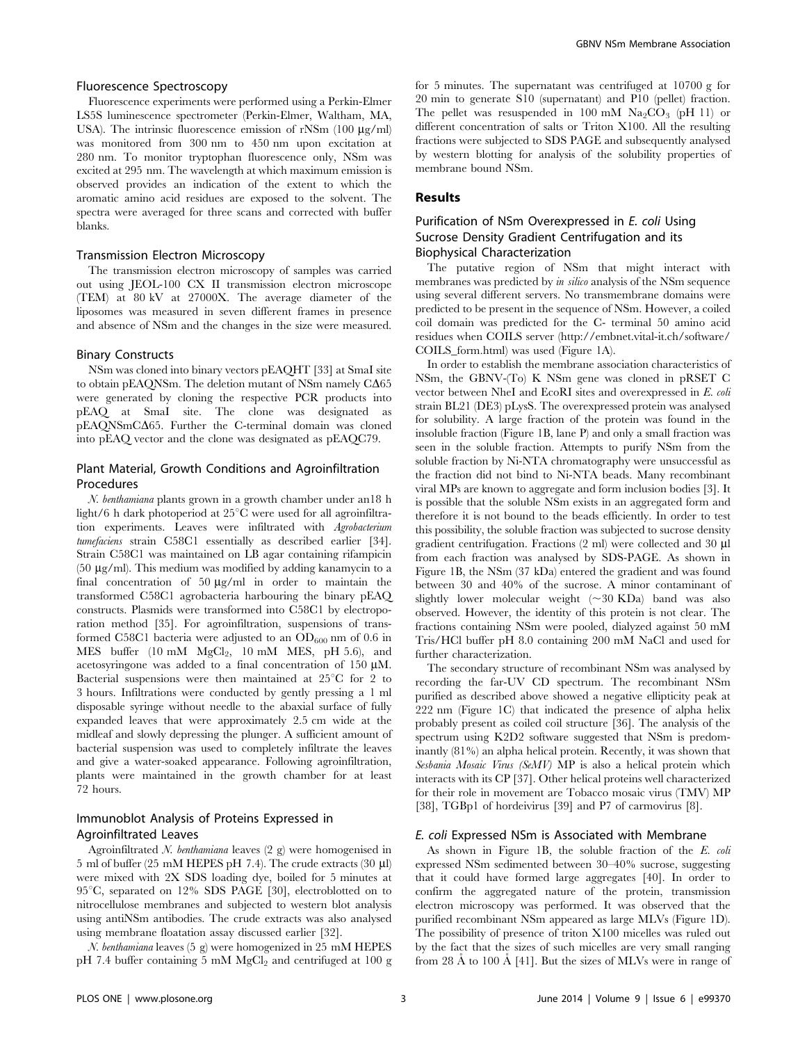#### Fluorescence Spectroscopy

Fluorescence experiments were performed using a Perkin-Elmer LS5S luminescence spectrometer (Perkin-Elmer, Waltham, MA, USA). The intrinsic fluorescence emission of rNSm  $(100 \text{ µg/ml})$ was monitored from 300 nm to 450 nm upon excitation at 280 nm. To monitor tryptophan fluorescence only, NSm was excited at 295 nm. The wavelength at which maximum emission is observed provides an indication of the extent to which the aromatic amino acid residues are exposed to the solvent. The spectra were averaged for three scans and corrected with buffer blanks.

#### Transmission Electron Microscopy

The transmission electron microscopy of samples was carried out using JEOL-100 CX II transmission electron microscope (TEM) at 80 kV at 27000X. The average diameter of the liposomes was measured in seven different frames in presence and absence of NSm and the changes in the size were measured.

#### Binary Constructs

NSm was cloned into binary vectors pEAQHT [33] at SmaI site to obtain pEAQNSm. The deletion mutant of NSm namely  $C\Delta 65$ were generated by cloning the respective PCR products into pEAQ at SmaI site. The clone was designated as pEAQNSmC $\Delta$ 65. Further the C-terminal domain was cloned into pEAQ vector and the clone was designated as pEAQC79.

## Plant Material, Growth Conditions and Agroinfiltration Procedures

N. benthamiana plants grown in a growth chamber under an18 h light/6 h dark photoperiod at  $25^{\circ}$ C were used for all agroinfiltration experiments. Leaves were infiltrated with Agrobacterium tumefaciens strain C58C1 essentially as described earlier [34]. Strain C58C1 was maintained on LB agar containing rifampicin  $(50 \mu g/ml)$ . This medium was modified by adding kanamycin to a final concentration of  $50 \mu g/ml$  in order to maintain the transformed C58C1 agrobacteria harbouring the binary pEAQ constructs. Plasmids were transformed into C58C1 by electroporation method [35]. For agroinfiltration, suspensions of transformed C58C1 bacteria were adjusted to an  $OD_{600}$  nm of 0.6 in MES buffer  $(10 \text{ mM } MgCl<sub>2</sub>, 10 \text{ mM } MES, pH 5.6),$  and acetosyring one was added to a final concentration of  $150 \mu M$ . Bacterial suspensions were then maintained at  $25^{\circ}$ C for 2 to 3 hours. Infiltrations were conducted by gently pressing a 1 ml disposable syringe without needle to the abaxial surface of fully expanded leaves that were approximately 2.5 cm wide at the midleaf and slowly depressing the plunger. A sufficient amount of bacterial suspension was used to completely infiltrate the leaves and give a water-soaked appearance. Following agroinfiltration, plants were maintained in the growth chamber for at least 72 hours.

## Immunoblot Analysis of Proteins Expressed in Agroinfiltrated Leaves

Agroinfiltrated N. benthamiana leaves (2 g) were homogenised in 5 ml of buffer (25 mM HEPES pH 7.4). The crude extracts (30  $\mu$ l) were mixed with 2X SDS loading dye, boiled for 5 minutes at 95°C, separated on 12% SDS PAGE [30], electroblotted on to nitrocellulose membranes and subjected to western blot analysis using antiNSm antibodies. The crude extracts was also analysed using membrane floatation assay discussed earlier [32].

N. benthamiana leaves (5 g) were homogenized in 25 mM HEPES pH 7.4 buffer containing 5 mM  $MgCl<sub>2</sub>$  and centrifuged at 100 g for 5 minutes. The supernatant was centrifuged at 10700 g for 20 min to generate S10 (supernatant) and P10 (pellet) fraction. The pellet was resuspended in 100 mM  $\text{Na}_2\text{CO}_3$  (pH 11) or different concentration of salts or Triton X100. All the resulting fractions were subjected to SDS PAGE and subsequently analysed by western blotting for analysis of the solubility properties of membrane bound NSm.

#### Results

## Purification of NSm Overexpressed in E. coli Using Sucrose Density Gradient Centrifugation and its Biophysical Characterization

The putative region of NSm that might interact with membranes was predicted by in silico analysis of the NSm sequence using several different servers. No transmembrane domains were predicted to be present in the sequence of NSm. However, a coiled coil domain was predicted for the C- terminal 50 amino acid residues when COILS server (http://embnet.vital-it.ch/software/ COILS\_form.html) was used (Figure 1A).

In order to establish the membrane association characteristics of NSm, the GBNV-(To) K NSm gene was cloned in pRSET C vector between NheI and EcoRI sites and overexpressed in E. coli strain BL21 (DE3) pLysS. The overexpressed protein was analysed for solubility. A large fraction of the protein was found in the insoluble fraction (Figure 1B, lane P) and only a small fraction was seen in the soluble fraction. Attempts to purify NSm from the soluble fraction by Ni-NTA chromatography were unsuccessful as the fraction did not bind to Ni-NTA beads. Many recombinant viral MPs are known to aggregate and form inclusion bodies [3]. It is possible that the soluble NSm exists in an aggregated form and therefore it is not bound to the beads efficiently. In order to test this possibility, the soluble fraction was subjected to sucrose density gradient centrifugation. Fractions  $(2 \text{ ml})$  were collected and  $30 \text{ µl}$ from each fraction was analysed by SDS-PAGE. As shown in Figure 1B, the NSm (37 kDa) entered the gradient and was found between 30 and 40% of the sucrose. A minor contaminant of slightly lower molecular weight  $(\sim 30 \text{ KDa})$  band was also observed. However, the identity of this protein is not clear. The fractions containing NSm were pooled, dialyzed against 50 mM Tris/HCl buffer pH 8.0 containing 200 mM NaCl and used for further characterization.

The secondary structure of recombinant NSm was analysed by recording the far-UV CD spectrum. The recombinant NSm purified as described above showed a negative ellipticity peak at 222 nm (Figure 1C) that indicated the presence of alpha helix probably present as coiled coil structure [36]. The analysis of the spectrum using K2D2 software suggested that NSm is predominantly (81%) an alpha helical protein. Recently, it was shown that Sesbania Mosaic Virus (SeMV) MP is also a helical protein which interacts with its CP [37]. Other helical proteins well characterized for their role in movement are Tobacco mosaic virus (TMV) MP [38], TGBp1 of hordeivirus [39] and P7 of carmovirus [8].

## E. coli Expressed NSm is Associated with Membrane

As shown in Figure 1B, the soluble fraction of the E. coli expressed NSm sedimented between 30–40% sucrose, suggesting that it could have formed large aggregates [40]. In order to confirm the aggregated nature of the protein, transmission electron microscopy was performed. It was observed that the purified recombinant NSm appeared as large MLVs (Figure 1D). The possibility of presence of triton X100 micelles was ruled out by the fact that the sizes of such micelles are very small ranging from 28  $\AA$  to 100  $\AA$  [41]. But the sizes of MLVs were in range of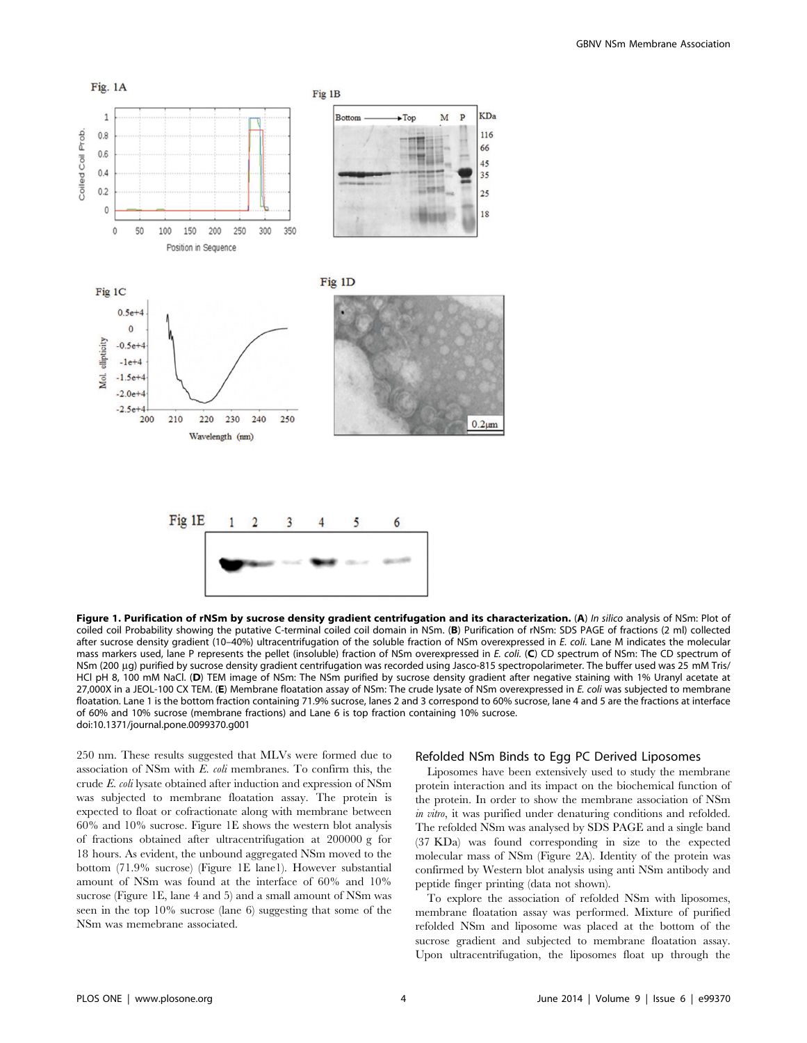

Figure 1. Purification of rNSm by sucrose density gradient centrifugation and its characterization. (A) In silico analysis of NSm: Plot of coiled coil Probability showing the putative C-terminal coiled coil domain in NSm. (B) Purification of rNSm: SDS PAGE of fractions (2 ml) collected after sucrose density gradient (10-40%) ultracentrifugation of the soluble fraction of NSm overexpressed in E. coli. Lane M indicates the molecular mass markers used, lane P represents the pellet (insoluble) fraction of NSm overexpressed in E. coli. (C) CD spectrum of NSm: The CD spectrum of NSm (200 µg) purified by sucrose density gradient centrifugation was recorded using Jasco-815 spectropolarimeter. The buffer used was 25 mM Tris/ HCl pH 8, 100 mM NaCl. (D) TEM image of NSm: The NSm purified by sucrose density gradient after negative staining with 1% Uranyl acetate at 27,000X in a JEOL-100 CX TEM. (E) Membrane floatation assay of NSm: The crude lysate of NSm overexpressed in E. coli was subjected to membrane floatation. Lane 1 is the bottom fraction containing 71.9% sucrose, lanes 2 and 3 correspond to 60% sucrose, lane 4 and 5 are the fractions at interface of 60% and 10% sucrose (membrane fractions) and Lane 6 is top fraction containing 10% sucrose. doi:10.1371/journal.pone.0099370.g001

250 nm. These results suggested that MLVs were formed due to association of NSm with E. coli membranes. To confirm this, the crude E. coli lysate obtained after induction and expression of NSm was subjected to membrane floatation assay. The protein is expected to float or cofractionate along with membrane between 60% and 10% sucrose. Figure 1E shows the western blot analysis of fractions obtained after ultracentrifugation at 200000 g for 18 hours. As evident, the unbound aggregated NSm moved to the bottom (71.9% sucrose) (Figure 1E lane1). However substantial amount of NSm was found at the interface of 60% and 10% sucrose (Figure 1E, lane 4 and 5) and a small amount of NSm was seen in the top 10% sucrose (lane 6) suggesting that some of the NSm was memebrane associated.

#### Refolded NSm Binds to Egg PC Derived Liposomes

Liposomes have been extensively used to study the membrane protein interaction and its impact on the biochemical function of the protein. In order to show the membrane association of NSm in vitro, it was purified under denaturing conditions and refolded. The refolded NSm was analysed by SDS PAGE and a single band (37 KDa) was found corresponding in size to the expected molecular mass of NSm (Figure 2A). Identity of the protein was confirmed by Western blot analysis using anti NSm antibody and peptide finger printing (data not shown).

To explore the association of refolded NSm with liposomes, membrane floatation assay was performed. Mixture of purified refolded NSm and liposome was placed at the bottom of the sucrose gradient and subjected to membrane floatation assay. Upon ultracentrifugation, the liposomes float up through the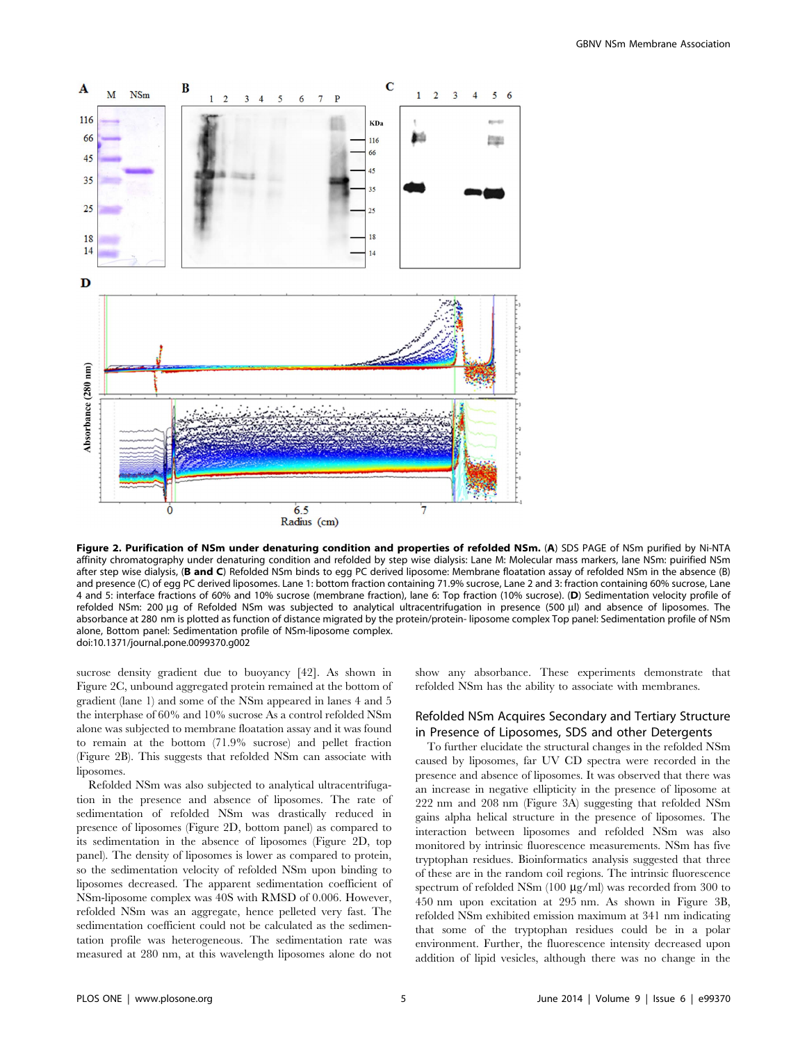

Figure 2. Purification of NSm under denaturing condition and properties of refolded NSm. (A) SDS PAGE of NSm purified by Ni-NTA affinity chromatography under denaturing condition and refolded by step wise dialysis: Lane M: Molecular mass markers, lane NSm: puirified NSm after step wise dialysis, (B and C) Refolded NSm binds to egg PC derived liposome: Membrane floatation assay of refolded NSm in the absence (B) and presence (C) of egg PC derived liposomes. Lane 1: bottom fraction containing 71.9% sucrose, Lane 2 and 3: fraction containing 60% sucrose, Lane 4 and 5: interface fractions of 60% and 10% sucrose (membrane fraction), lane 6: Top fraction (10% sucrose). (D) Sedimentation velocity profile of refolded NSm: 200 µg of Refolded NSm was subjected to analytical ultracentrifugation in presence (500 µl) and absence of liposomes. The absorbance at 280 nm is plotted as function of distance migrated by the protein/protein- liposome complex Top panel: Sedimentation profile of NSm alone, Bottom panel: Sedimentation profile of NSm-liposome complex. doi:10.1371/journal.pone.0099370.g002

sucrose density gradient due to buoyancy [42]. As shown in Figure 2C, unbound aggregated protein remained at the bottom of gradient (lane 1) and some of the NSm appeared in lanes 4 and 5 the interphase of 60% and 10% sucrose As a control refolded NSm alone was subjected to membrane floatation assay and it was found to remain at the bottom (71.9% sucrose) and pellet fraction (Figure 2B). This suggests that refolded NSm can associate with liposomes.

Refolded NSm was also subjected to analytical ultracentrifugation in the presence and absence of liposomes. The rate of sedimentation of refolded NSm was drastically reduced in presence of liposomes (Figure 2D, bottom panel) as compared to its sedimentation in the absence of liposomes (Figure 2D, top panel). The density of liposomes is lower as compared to protein, so the sedimentation velocity of refolded NSm upon binding to liposomes decreased. The apparent sedimentation coefficient of NSm-liposome complex was 40S with RMSD of 0.006. However, refolded NSm was an aggregate, hence pelleted very fast. The sedimentation coefficient could not be calculated as the sedimentation profile was heterogeneous. The sedimentation rate was measured at 280 nm, at this wavelength liposomes alone do not

show any absorbance. These experiments demonstrate that refolded NSm has the ability to associate with membranes.

## Refolded NSm Acquires Secondary and Tertiary Structure in Presence of Liposomes, SDS and other Detergents

To further elucidate the structural changes in the refolded NSm caused by liposomes, far UV CD spectra were recorded in the presence and absence of liposomes. It was observed that there was an increase in negative ellipticity in the presence of liposome at 222 nm and 208 nm (Figure 3A) suggesting that refolded NSm gains alpha helical structure in the presence of liposomes. The interaction between liposomes and refolded NSm was also monitored by intrinsic fluorescence measurements. NSm has five tryptophan residues. Bioinformatics analysis suggested that three of these are in the random coil regions. The intrinsic fluorescence spectrum of refolded NSm  $(100 \text{ µg/ml})$  was recorded from 300 to 450 nm upon excitation at 295 nm. As shown in Figure 3B, refolded NSm exhibited emission maximum at 341 nm indicating that some of the tryptophan residues could be in a polar environment. Further, the fluorescence intensity decreased upon addition of lipid vesicles, although there was no change in the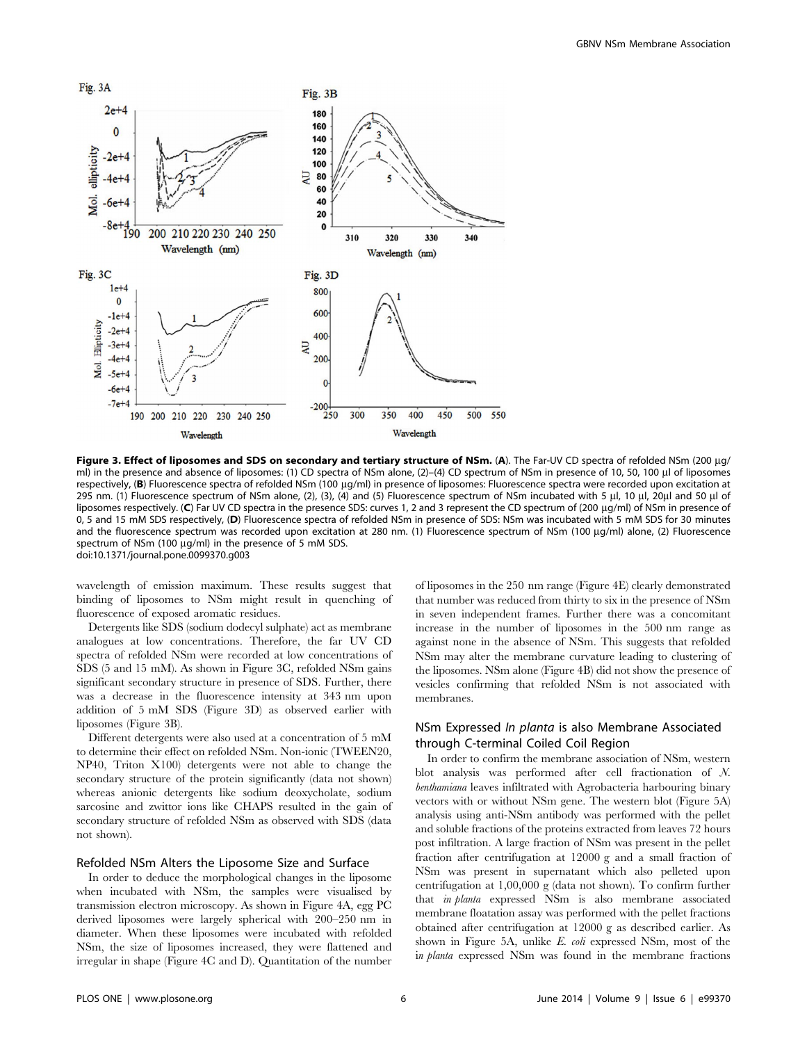

Figure 3. Effect of liposomes and SDS on secondary and tertiary structure of NSm. (A). The Far-UV CD spectra of refolded NSm (200 µg/ ml) in the presence and absence of liposomes: (1) CD spectra of NSm alone, (2)–(4) CD spectrum of NSm in presence of 10, 50, 100 µl of liposomes respectively, (B) Fluorescence spectra of refolded NSm (100 ug/ml) in presence of liposomes: Fluorescence spectra were recorded upon excitation at 295 nm. (1) Fluorescence spectrum of NSm alone, (2), (3), (4) and (5) Fluorescence spectrum of NSm incubated with 5 µl, 10 µl, 20µl and 50 µl of liposomes respectively. (C) Far UV CD spectra in the presence SDS: curves 1, 2 and 3 represent the CD spectrum of (200 µg/ml) of NSm in presence of 0, 5 and 15 mM SDS respectively, (D) Fluorescence spectra of refolded NSm in presence of SDS: NSm was incubated with 5 mM SDS for 30 minutes and the fluorescence spectrum was recorded upon excitation at 280 nm. (1) Fluorescence spectrum of NSm (100 µg/ml) alone, (2) Fluorescence spectrum of NSm (100 µg/ml) in the presence of 5 mM SDS. doi:10.1371/journal.pone.0099370.g003

wavelength of emission maximum. These results suggest that binding of liposomes to NSm might result in quenching of fluorescence of exposed aromatic residues.

Detergents like SDS (sodium dodecyl sulphate) act as membrane analogues at low concentrations. Therefore, the far UV CD spectra of refolded NSm were recorded at low concentrations of SDS (5 and 15 mM). As shown in Figure 3C, refolded NSm gains significant secondary structure in presence of SDS. Further, there was a decrease in the fluorescence intensity at 343 nm upon addition of 5 mM SDS (Figure 3D) as observed earlier with liposomes (Figure 3B).

Different detergents were also used at a concentration of 5 mM to determine their effect on refolded NSm. Non-ionic (TWEEN20, NP40, Triton X100) detergents were not able to change the secondary structure of the protein significantly (data not shown) whereas anionic detergents like sodium deoxycholate, sodium sarcosine and zwittor ions like CHAPS resulted in the gain of secondary structure of refolded NSm as observed with SDS (data not shown).

## Refolded NSm Alters the Liposome Size and Surface

In order to deduce the morphological changes in the liposome when incubated with NSm, the samples were visualised by transmission electron microscopy. As shown in Figure 4A, egg PC derived liposomes were largely spherical with 200–250 nm in diameter. When these liposomes were incubated with refolded NSm, the size of liposomes increased, they were flattened and irregular in shape (Figure 4C and D). Quantitation of the number of liposomes in the 250 nm range (Figure 4E) clearly demonstrated that number was reduced from thirty to six in the presence of NSm in seven independent frames. Further there was a concomitant increase in the number of liposomes in the 500 nm range as against none in the absence of NSm. This suggests that refolded NSm may alter the membrane curvature leading to clustering of the liposomes. NSm alone (Figure 4B) did not show the presence of vesicles confirming that refolded NSm is not associated with membranes.

## NSm Expressed In planta is also Membrane Associated through C-terminal Coiled Coil Region

In order to confirm the membrane association of NSm, western blot analysis was performed after cell fractionation of N. benthamiana leaves infiltrated with Agrobacteria harbouring binary vectors with or without NSm gene. The western blot (Figure 5A) analysis using anti-NSm antibody was performed with the pellet and soluble fractions of the proteins extracted from leaves 72 hours post infiltration. A large fraction of NSm was present in the pellet fraction after centrifugation at 12000 g and a small fraction of NSm was present in supernatant which also pelleted upon centrifugation at 1,00,000 g (data not shown). To confirm further that in planta expressed NSm is also membrane associated membrane floatation assay was performed with the pellet fractions obtained after centrifugation at 12000 g as described earlier. As shown in Figure 5A, unlike E. coli expressed NSm, most of the in planta expressed NSm was found in the membrane fractions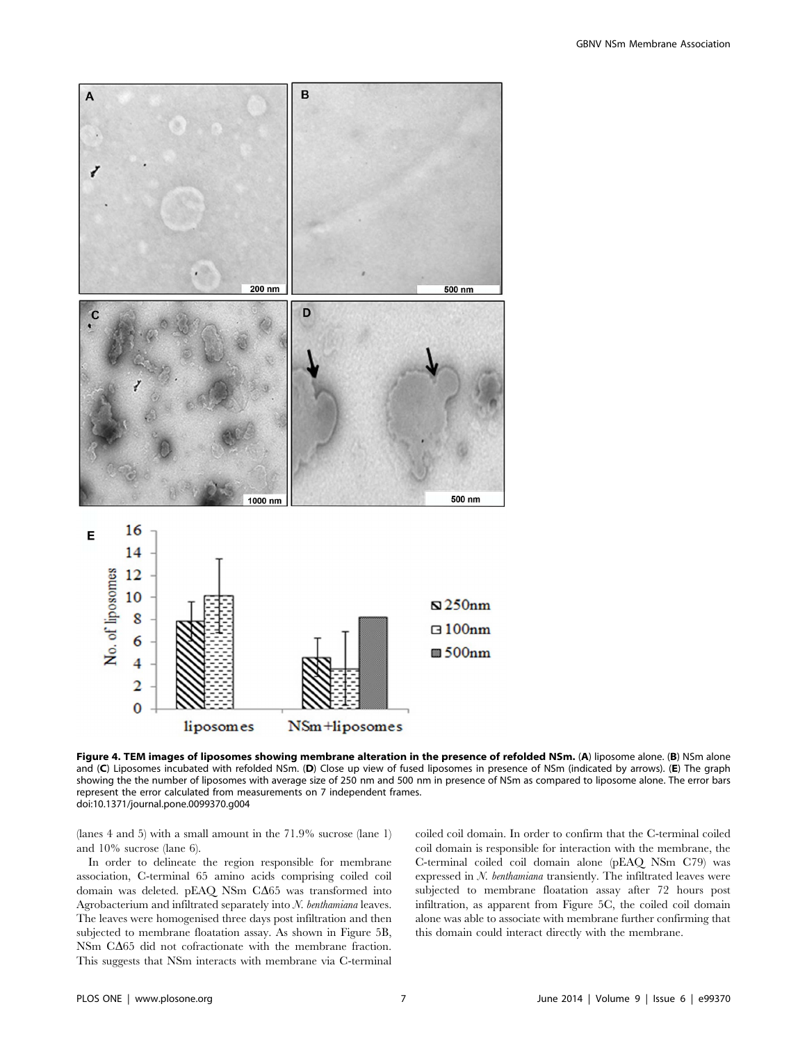

Figure 4. TEM images of liposomes showing membrane alteration in the presence of refolded NSm. (A) liposome alone. (B) NSm alone and (C) Liposomes incubated with refolded NSm. (D) Close up view of fused liposomes in presence of NSm (indicated by arrows). (E) The graph showing the the number of liposomes with average size of 250 nm and 500 nm in presence of NSm as compared to liposome alone. The error bars represent the error calculated from measurements on 7 independent frames. doi:10.1371/journal.pone.0099370.g004

(lanes 4 and 5) with a small amount in the 71.9% sucrose (lane 1) and 10% sucrose (lane 6).

In order to delineate the region responsible for membrane association, C-terminal 65 amino acids comprising coiled coil domain was deleted. pEAQ NSm  $C\Delta 65$  was transformed into Agrobacterium and infiltrated separately into N. benthamiana leaves. The leaves were homogenised three days post infiltration and then subjected to membrane floatation assay. As shown in Figure 5B, NSm  $C\Delta 65$  did not cofractionate with the membrane fraction. This suggests that NSm interacts with membrane via C-terminal

coiled coil domain. In order to confirm that the C-terminal coiled coil domain is responsible for interaction with the membrane, the C-terminal coiled coil domain alone (pEAQ NSm C79) was expressed in N. benthamiana transiently. The infiltrated leaves were subjected to membrane floatation assay after 72 hours post infiltration, as apparent from Figure 5C, the coiled coil domain alone was able to associate with membrane further confirming that this domain could interact directly with the membrane.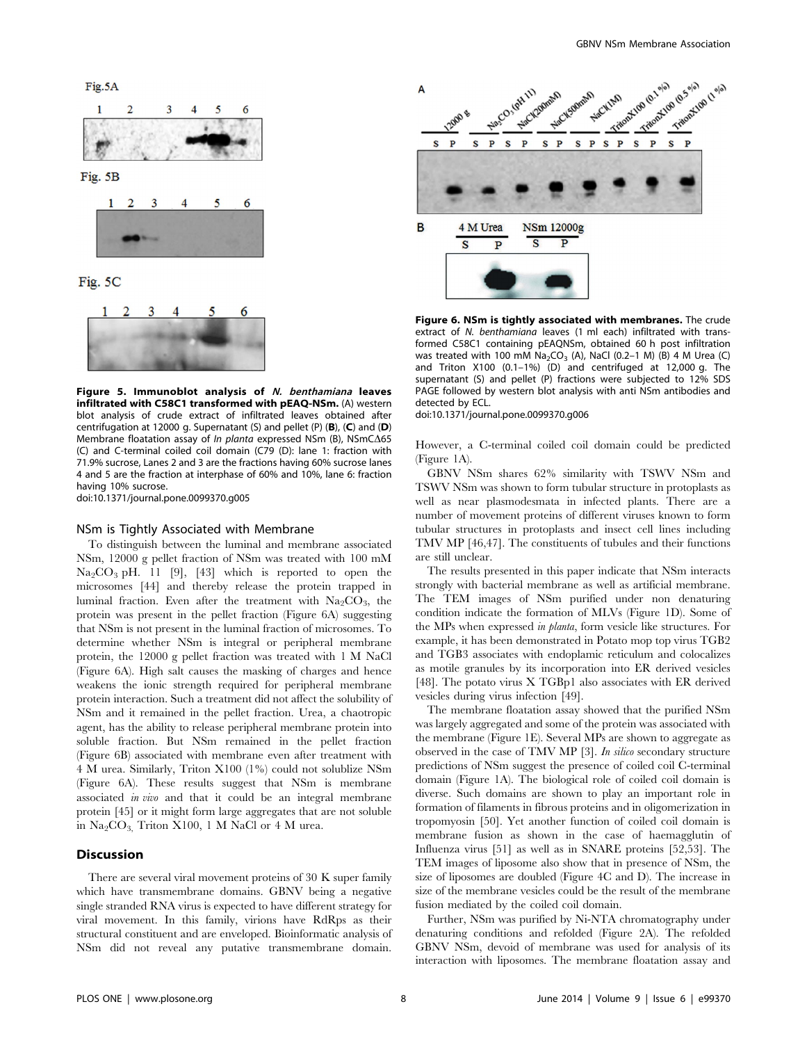



Figure 5. Immunoblot analysis of N. benthamiana leaves infiltrated with C58C1 transformed with pEAQ-NSm. (A) western blot analysis of crude extract of infiltrated leaves obtained after centrifugation at 12000 g. Supernatant (S) and pellet (P) (B), (C) and (D) Membrane floatation assay of In planta expressed NSm (B),  $NSmCA65$ (C) and C-terminal coiled coil domain (C79 (D): lane 1: fraction with 71.9% sucrose, Lanes 2 and 3 are the fractions having 60% sucrose lanes 4 and 5 are the fraction at interphase of 60% and 10%, lane 6: fraction having 10% sucrose.

doi:10.1371/journal.pone.0099370.g005

#### NSm is Tightly Associated with Membrane

To distinguish between the luminal and membrane associated NSm, 12000 g pellet fraction of NSm was treated with 100 mM  $Na<sub>2</sub>CO<sub>3</sub>$  pH. 11 [9], [43] which is reported to open the microsomes [44] and thereby release the protein trapped in luminal fraction. Even after the treatment with  $Na_2CO_3$ , the protein was present in the pellet fraction (Figure 6A) suggesting that NSm is not present in the luminal fraction of microsomes. To determine whether NSm is integral or peripheral membrane protein, the 12000 g pellet fraction was treated with 1 M NaCl (Figure 6A). High salt causes the masking of charges and hence weakens the ionic strength required for peripheral membrane protein interaction. Such a treatment did not affect the solubility of NSm and it remained in the pellet fraction. Urea, a chaotropic agent, has the ability to release peripheral membrane protein into soluble fraction. But NSm remained in the pellet fraction (Figure 6B) associated with membrane even after treatment with 4 M urea. Similarly, Triton X100 (1%) could not solublize NSm (Figure 6A). These results suggest that NSm is membrane associated in vivo and that it could be an integral membrane protein [45] or it might form large aggregates that are not soluble in  $Na<sub>2</sub>CO<sub>3</sub>$ . Triton X100, 1 M NaCl or 4 M urea.

## Discussion

There are several viral movement proteins of 30 K super family which have transmembrane domains. GBNV being a negative single stranded RNA virus is expected to have different strategy for viral movement. In this family, virions have RdRps as their structural constituent and are enveloped. Bioinformatic analysis of NSm did not reveal any putative transmembrane domain.



Figure 6. NSm is tightly associated with membranes. The crude extract of N. benthamiana leaves (1 ml each) infiltrated with transformed C58C1 containing pEAQNSm, obtained 60 h post infiltration was treated with 100 mM  $Na<sub>2</sub>CO<sub>3</sub>$  (A), NaCl (0.2–1 M) (B) 4 M Urea (C) and Triton X100 (0.1–1%) (D) and centrifuged at 12,000 g. The supernatant (S) and pellet (P) fractions were subjected to 12% SDS PAGE followed by western blot analysis with anti NSm antibodies and detected by ECL.

doi:10.1371/journal.pone.0099370.g006

However, a C-terminal coiled coil domain could be predicted (Figure 1A).

GBNV NSm shares 62% similarity with TSWV NSm and TSWV NSm was shown to form tubular structure in protoplasts as well as near plasmodesmata in infected plants. There are a number of movement proteins of different viruses known to form tubular structures in protoplasts and insect cell lines including TMV MP [46,47]. The constituents of tubules and their functions are still unclear.

The results presented in this paper indicate that NSm interacts strongly with bacterial membrane as well as artificial membrane. The TEM images of NSm purified under non denaturing condition indicate the formation of MLVs (Figure 1D). Some of the MPs when expressed in planta, form vesicle like structures. For example, it has been demonstrated in Potato mop top virus TGB2 and TGB3 associates with endoplamic reticulum and colocalizes as motile granules by its incorporation into ER derived vesicles [48]. The potato virus X TGBp1 also associates with ER derived vesicles during virus infection [49].

The membrane floatation assay showed that the purified NSm was largely aggregated and some of the protein was associated with the membrane (Figure 1E). Several MPs are shown to aggregate as observed in the case of TMV MP [3]. In silico secondary structure predictions of NSm suggest the presence of coiled coil C-terminal domain (Figure 1A). The biological role of coiled coil domain is diverse. Such domains are shown to play an important role in formation of filaments in fibrous proteins and in oligomerization in tropomyosin [50]. Yet another function of coiled coil domain is membrane fusion as shown in the case of haemagglutin of Influenza virus [51] as well as in SNARE proteins [52,53]. The TEM images of liposome also show that in presence of NSm, the size of liposomes are doubled (Figure 4C and D). The increase in size of the membrane vesicles could be the result of the membrane fusion mediated by the coiled coil domain.

Further, NSm was purified by Ni-NTA chromatography under denaturing conditions and refolded (Figure 2A). The refolded GBNV NSm, devoid of membrane was used for analysis of its interaction with liposomes. The membrane floatation assay and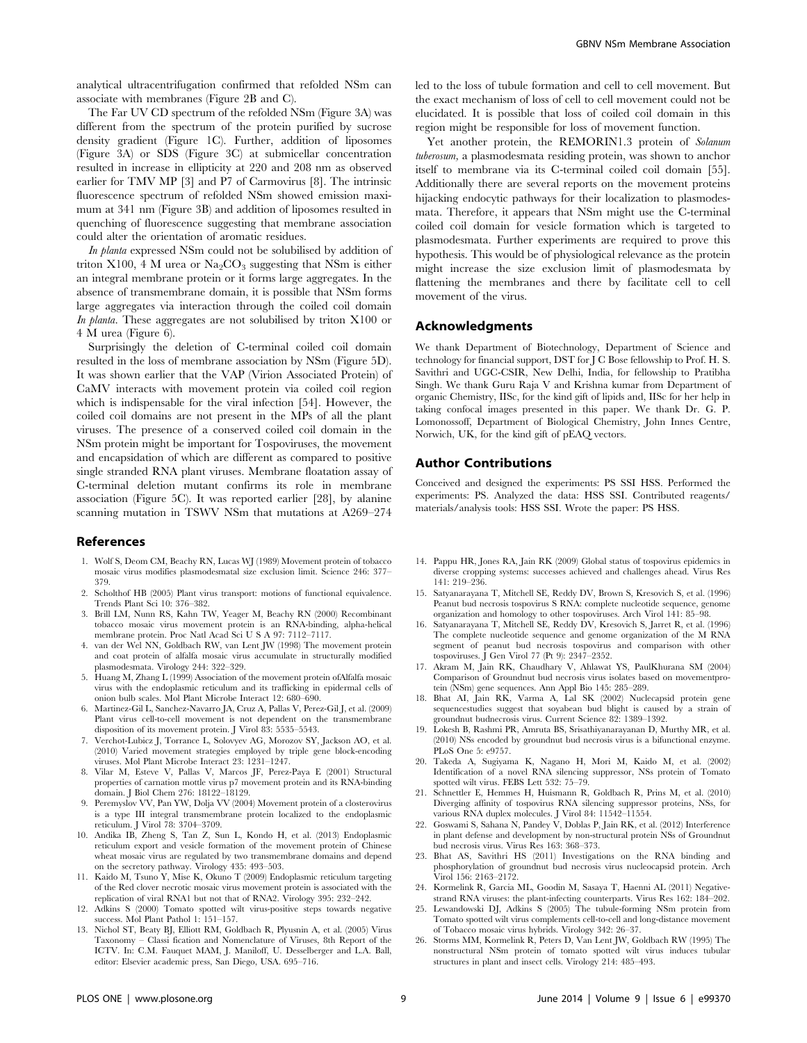analytical ultracentrifugation confirmed that refolded NSm can associate with membranes (Figure 2B and C).

The Far UV CD spectrum of the refolded NSm (Figure 3A) was different from the spectrum of the protein purified by sucrose density gradient (Figure 1C). Further, addition of liposomes (Figure 3A) or SDS (Figure 3C) at submicellar concentration resulted in increase in ellipticity at 220 and 208 nm as observed earlier for TMV MP [3] and P7 of Carmovirus [8]. The intrinsic fluorescence spectrum of refolded NSm showed emission maximum at 341 nm (Figure 3B) and addition of liposomes resulted in quenching of fluorescence suggesting that membrane association could alter the orientation of aromatic residues.

In planta expressed NSm could not be solubilised by addition of triton X100, 4 M urea or  $Na<sub>2</sub>CO<sub>3</sub>$  suggesting that NSm is either an integral membrane protein or it forms large aggregates. In the absence of transmembrane domain, it is possible that NSm forms large aggregates via interaction through the coiled coil domain In planta. These aggregates are not solubilised by triton X100 or 4 M urea (Figure 6).

Surprisingly the deletion of C-terminal coiled coil domain resulted in the loss of membrane association by NSm (Figure 5D). It was shown earlier that the VAP (Virion Associated Protein) of CaMV interacts with movement protein via coiled coil region which is indispensable for the viral infection [54]. However, the coiled coil domains are not present in the MPs of all the plant viruses. The presence of a conserved coiled coil domain in the NSm protein might be important for Tospoviruses, the movement and encapsidation of which are different as compared to positive single stranded RNA plant viruses. Membrane floatation assay of C-terminal deletion mutant confirms its role in membrane association (Figure 5C). It was reported earlier [28], by alanine scanning mutation in TSWV NSm that mutations at A269–274

#### References

- 1. Wolf S, Deom CM, Beachy RN, Lucas WJ (1989) Movement protein of tobacco mosaic virus modifies plasmodesmatal size exclusion limit. Science 246: 377– 379.
- 2. Scholthof HB (2005) Plant virus transport: motions of functional equivalence. Trends Plant Sci 10: 376–382.
- 3. Brill LM, Nunn RS, Kahn TW, Yeager M, Beachy RN (2000) Recombinant tobacco mosaic virus movement protein is an RNA-binding, alpha-helical membrane protein. Proc Natl Acad Sci U S A 97: 7112–7117.
- 4. van der Wel NN, Goldbach RW, van Lent JW (1998) The movement protein and coat protein of alfalfa mosaic virus accumulate in structurally modified plasmodesmata. Virology 244: 322–329.
- 5. Huang M, Zhang L (1999) Association of the movement protein ofAlfalfa mosaic virus with the endoplasmic reticulum and its trafficking in epidermal cells of onion bulb scales. Mol Plant Microbe Interact 12: 680–690.
- 6. Martinez-Gil L, Sanchez-Navarro JA, Cruz A, Pallas V, Perez-Gil J, et al. (2009) Plant virus cell-to-cell movement is not dependent on the transmembrane disposition of its movement protein. J Virol 83: 5535–5543.
- 7. Verchot-Lubicz J, Torrance L, Solovyev AG, Morozov SY, Jackson AO, et al. (2010) Varied movement strategies employed by triple gene block-encoding viruses. Mol Plant Microbe Interact 23: 1231–1247.
- 8. Vilar M, Esteve V, Pallas V, Marcos JF, Perez-Paya E (2001) Structural properties of carnation mottle virus p7 movement protein and its RNA-binding domain. J Biol Chem 276: 18122–18129.
- 9. Peremyslov VV, Pan YW, Dolja VV (2004) Movement protein of a closterovirus is a type III integral transmembrane protein localized to the endoplasmic reticulum. J Virol 78: 3704–3709.
- 10. Andika IB, Zheng S, Tan Z, Sun L, Kondo H, et al. (2013) Endoplasmic reticulum export and vesicle formation of the movement protein of Chinese wheat mosaic virus are regulated by two transmembrane domains and depend on the secretory pathway. Virology 435: 493–503.
- 11. Kaido M, Tsuno Y, Mise K, Okuno T (2009) Endoplasmic reticulum targeting of the Red clover necrotic mosaic virus movement protein is associated with the replication of viral RNA1 but not that of RNA2. Virology 395: 232–242.
- 12. Adkins S (2000) Tomato spotted wilt virus-positive steps towards negative success. Mol Plant Pathol 1: 151–157.
- 13. Nichol ST, Beaty BJ, Elliott RM, Goldbach R, Plyusnin A, et al. (2005) Virus Taxonomy – Classi fication and Nomenclature of Viruses, 8th Report of the ICTV. In: C.M. Fauquet MAM, J. Maniloff, U. Desselberger and L.A. Ball, editor: Elsevier academic press, San Diego, USA. 695–716.

led to the loss of tubule formation and cell to cell movement. But the exact mechanism of loss of cell to cell movement could not be elucidated. It is possible that loss of coiled coil domain in this region might be responsible for loss of movement function.

Yet another protein, the REMORIN1.3 protein of Solanum tuberosum, a plasmodesmata residing protein, was shown to anchor itself to membrane via its C-terminal coiled coil domain [55]. Additionally there are several reports on the movement proteins hijacking endocytic pathways for their localization to plasmodesmata. Therefore, it appears that NSm might use the C-terminal coiled coil domain for vesicle formation which is targeted to plasmodesmata. Further experiments are required to prove this hypothesis. This would be of physiological relevance as the protein might increase the size exclusion limit of plasmodesmata by flattening the membranes and there by facilitate cell to cell movement of the virus.

#### Acknowledgments

We thank Department of Biotechnology, Department of Science and technology for financial support, DST for J C Bose fellowship to Prof. H. S. Savithri and UGC-CSIR, New Delhi, India, for fellowship to Pratibha Singh. We thank Guru Raja V and Krishna kumar from Department of organic Chemistry, IISc, for the kind gift of lipids and, IISc for her help in taking confocal images presented in this paper. We thank Dr. G. P. Lomonossoff, Department of Biological Chemistry, John Innes Centre, Norwich, UK, for the kind gift of pEAQ vectors.

#### Author Contributions

Conceived and designed the experiments: PS SSI HSS. Performed the experiments: PS. Analyzed the data: HSS SSI. Contributed reagents/ materials/analysis tools: HSS SSI. Wrote the paper: PS HSS.

- 14. Pappu HR, Jones RA, Jain RK (2009) Global status of tospovirus epidemics in diverse cropping systems: successes achieved and challenges ahead. Virus Res 141: 219–236.
- 15. Satyanarayana T, Mitchell SE, Reddy DV, Brown S, Kresovich S, et al. (1996) Peanut bud necrosis tospovirus S RNA: complete nucleotide sequence, genome organization and homology to other tospoviruses. Arch Virol 141: 85–98.
- 16. Satyanarayana T, Mitchell SE, Reddy DV, Kresovich S, Jarret R, et al. (1996) The complete nucleotide sequence and genome organization of the M RNA segment of peanut bud necrosis tospovirus and comparison with other tospoviruses. J Gen Virol 77 (Pt 9): 2347–2352.
- 17. Akram M, Jain RK, Chaudhary V, Ahlawat YS, PaulKhurana SM (2004) Comparison of Groundnut bud necrosis virus isolates based on movementprotein (NSm) gene sequences. Ann Appl Bio 145: 285–289.
- 18. Bhat AI, Jain RK, Varma A, Lal SK (2002) Nuclecapsid protein gene sequencestudies suggest that soyabean bud blight is caused by a strain of groundnut budnecrosis virus. Current Science 82: 1389–1392.
- 19. Lokesh B, Rashmi PR, Amruta BS, Srisathiyanarayanan D, Murthy MR, et al. (2010) NSs encoded by groundnut bud necrosis virus is a bifunctional enzyme. PLoS One 5: e9757.
- 20. Takeda A, Sugiyama K, Nagano H, Mori M, Kaido M, et al. (2002) Identification of a novel RNA silencing suppressor, NSs protein of Tomato spotted wilt virus. FEBS Lett 532: 75–79.
- 21. Schnettler E, Hemmes H, Huismann R, Goldbach R, Prins M, et al. (2010) Diverging affinity of tospovirus RNA silencing suppressor proteins, NSs, for various RNA duplex molecules. J Virol 84: 11542–11554.
- 22. Goswami S, Sahana N, Pandey V, Doblas P, Jain RK, et al. (2012) Interference in plant defense and development by non-structural protein NSs of Groundnut bud necrosis virus. Virus Res 163: 368–373.
- 23. Bhat AS, Savithri HS (2011) Investigations on the RNA binding and phosphorylation of groundnut bud necrosis virus nucleocapsid protein. Arch Virol 156: 2163–2172.
- 24. Kormelink R, Garcia ML, Goodin M, Sasaya T, Haenni AL (2011) Negativestrand RNA viruses: the plant-infecting counterparts. Virus Res 162: 184–202. 25. Lewandowski DJ, Adkins S (2005) The tubule-forming NSm protein from
- Tomato spotted wilt virus complements cell-to-cell and long-distance movement of Tobacco mosaic virus hybrids. Virology 342: 26–37.
- 26. Storms MM, Kormelink R, Peters D, Van Lent JW, Goldbach RW (1995) The nonstructural NSm protein of tomato spotted wilt virus induces tubular structures in plant and insect cells. Virology 214: 485–493.